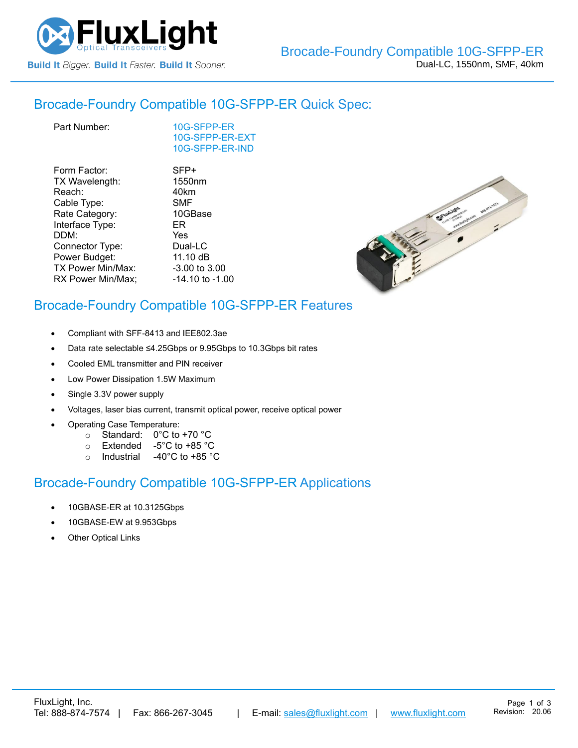

#### Brocade-Foundry Compatible [10G-SFPP-ER](https://www.fluxlight.com/10g-sfpp-er/) Quick Spec:

| Part Number: |
|--------------|
|              |

[10G-SFPP-ER](https://www.fluxlight.com/10g-sfpp-er/) [10G-SFPP-ER-](https://www.fluxlight.com/10g-sfpp-er/)EXT [10G-SFPP-ER-](https://www.fluxlight.com/10g-sfpp-er/)IND

| Form Factor:      | SFP+               |
|-------------------|--------------------|
| TX Wavelength:    | 1550 <sub>nm</sub> |
| Reach:            | 40km               |
| Cable Type:       | <b>SMF</b>         |
| Rate Category:    | 10GBase            |
| Interface Type:   | ER                 |
| DDM:              | Yes                |
| Connector Type:   | Dual-LC            |
| Power Budget:     | 11.10 dB           |
| TX Power Min/Max: | -3.00 to 3.00      |
| RX Power Min/Max; | -14.10 to -1.00    |
|                   |                    |



# Brocade-Foundry Compatible [10G-SFPP-ER](https://www.fluxlight.com/10g-sfpp-er/) Features

- Compliant with SFF-8413 and IEE802.3ae
- Data rate selectable ≤4.25Gbps or 9.95Gbps to 10.3Gbps bit rates
- Cooled EML transmitter and PIN receiver
- Low Power Dissipation 1.5W Maximum
- Single 3.3V power supply
- Voltages, laser bias current, transmit optical power, receive optical power
- Operating Case Temperature:
	- o Standard: 0°C to +70 °C
	- o Extended -5°C to +85 °C
	- o Industrial -40°C to +85 °C

## Brocade-Foundry Compatible [10G-SFPP-ER](https://www.fluxlight.com/10g-sfpp-er/) Applications

- 10GBASE-ER at 10.3125Gbps
- 10GBASE-EW at 9.953Gbps
- **Other Optical Links**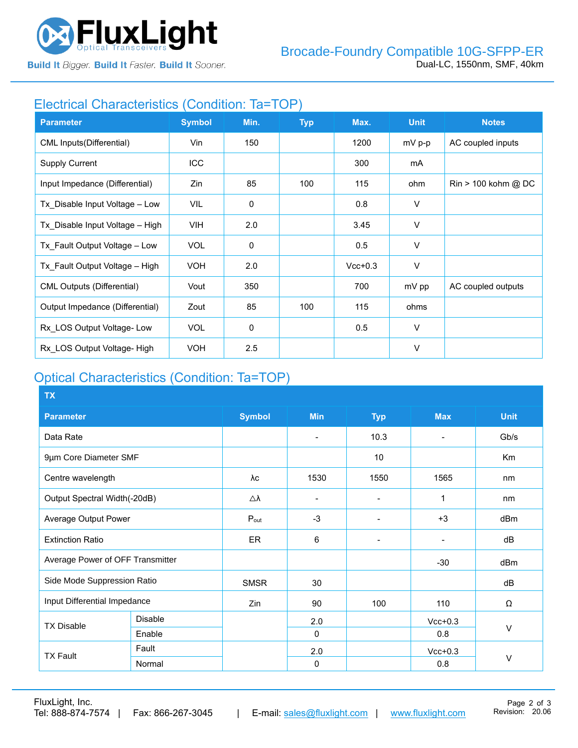

**Build It Bigger. Build It Faster. Build It Sooner.** 

### Electrical Characteristics (Condition: Ta=TOP)

| <b>Parameter</b>                  | <b>Symbol</b> | Min.        | <b>Typ</b> | Max.      | <b>Unit</b> | <b>Notes</b>                          |
|-----------------------------------|---------------|-------------|------------|-----------|-------------|---------------------------------------|
| CML Inputs (Differential)         | Vin           | 150         |            | 1200      | $mV p-p$    | AC coupled inputs                     |
| <b>Supply Current</b>             | ICC           |             |            | 300       | mA          |                                       |
| Input Impedance (Differential)    | Zin           | 85          | 100        | 115       | ohm         | $\text{Rin} > 100 \text{ kohm } @$ DC |
| Tx_Disable Input Voltage - Low    | VIL           | $\mathbf 0$ |            | 0.8       | V           |                                       |
| Tx Disable Input Voltage - High   | VIH.          | 2.0         |            | 3.45      | V           |                                       |
| Tx Fault Output Voltage - Low     | <b>VOL</b>    | $\mathbf 0$ |            | 0.5       | V           |                                       |
| Tx Fault Output Voltage - High    | <b>VOH</b>    | 2.0         |            | $Vcc+0.3$ | V           |                                       |
| <b>CML Outputs (Differential)</b> | Vout          | 350         |            | 700       | mV pp       | AC coupled outputs                    |
| Output Impedance (Differential)   | Zout          | 85          | 100        | 115       | ohms        |                                       |
| Rx LOS Output Voltage-Low         | <b>VOL</b>    | 0           |            | 0.5       | $\vee$      |                                       |
| Rx LOS Output Voltage- High       | <b>VOH</b>    | 2.5         |            |           | $\vee$      |                                       |

# Optical Characteristics (Condition: Ta=TOP)

| <b>TX</b>                        |                |                     |                              |                          |                |             |
|----------------------------------|----------------|---------------------|------------------------------|--------------------------|----------------|-------------|
| <b>Parameter</b>                 |                | <b>Symbol</b>       | <b>Min</b>                   | <b>Typ</b>               | <b>Max</b>     | <b>Unit</b> |
| Data Rate                        |                |                     | $\overline{\phantom{0}}$     | 10.3                     | $\blacksquare$ | Gb/s        |
| 9µm Core Diameter SMF            |                |                     |                              | 10 <sup>°</sup>          |                | Km          |
| Centre wavelength                |                | λc                  | 1530                         | 1550                     | 1565           | nm          |
| Output Spectral Width(-20dB)     |                | $\triangle \lambda$ | $\qquad \qquad \blacksquare$ |                          | 1              | nm          |
| Average Output Power             |                | $P_{\text{out}}$    | $-3$                         |                          | $+3$           | dBm         |
| <b>Extinction Ratio</b>          |                | <b>ER</b>           | 6                            | $\overline{\phantom{0}}$ | $\blacksquare$ | dB          |
| Average Power of OFF Transmitter |                |                     |                              |                          | $-30$          | dBm         |
| Side Mode Suppression Ratio      |                | <b>SMSR</b>         | 30                           |                          |                | dB          |
| Input Differential Impedance     |                | Zin                 | 90                           | 100                      | 110            | Ω           |
| <b>TX Disable</b>                | <b>Disable</b> |                     | 2.0                          |                          | $Vcc+0.3$      |             |
|                                  | Enable         |                     | $\Omega$                     |                          | 0.8            | V           |
| <b>TX Fault</b>                  | Fault          |                     | 2.0                          |                          | $Vcc+0.3$      |             |
|                                  | Normal         |                     | $\mathbf 0$                  |                          | 0.8            | $\vee$      |